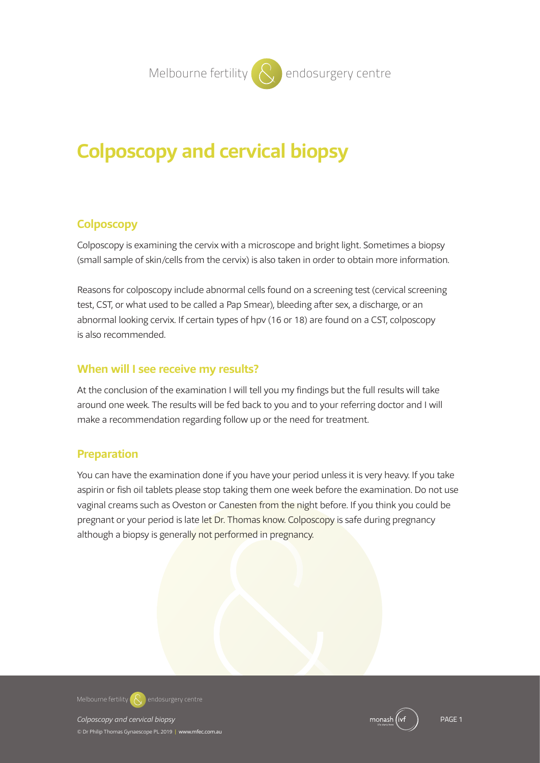# **Colposcopy and cervical biopsy**

## **Colposcopy**

Colposcopy is examining the cervix with a microscope and bright light. Sometimes a biopsy (small sample of skin/cells from the cervix) is also taken in order to obtain more information.

Reasons for colposcopy include abnormal cells found on a screening test (cervical screening test, CST, or what used to be called a Pap Smear), bleeding after sex, a discharge, or an abnormal looking cervix. If certain types of hpv (16 or 18) are found on a CST, colposcopy is also recommended.

## **When will I see receive my results?**

At the conclusion of the examination I will tell you my findings but the full results will take around one week. The results will be fed back to you and to your referring doctor and I will make a recommendation regarding follow up or the need for treatment.

## **Preparation**

You can have the examination done if you have your period unless it is very heavy. If you take aspirin or fish oil tablets please stop taking them one week before the examination. Do not use vaginal creams such as Oveston or Canesten from the night before. If you think you could be pregnant or your period is late let Dr. Thomas know. Colposcopy is safe during pregnancy although a biopsy is generally not performed in pregnancy.

**Melbourne fertility**  $\mathbb{R}$  endosurgery centre

© Dr Philip Thomas Gynaescope PL 2019 **|** www.mfec.com.au

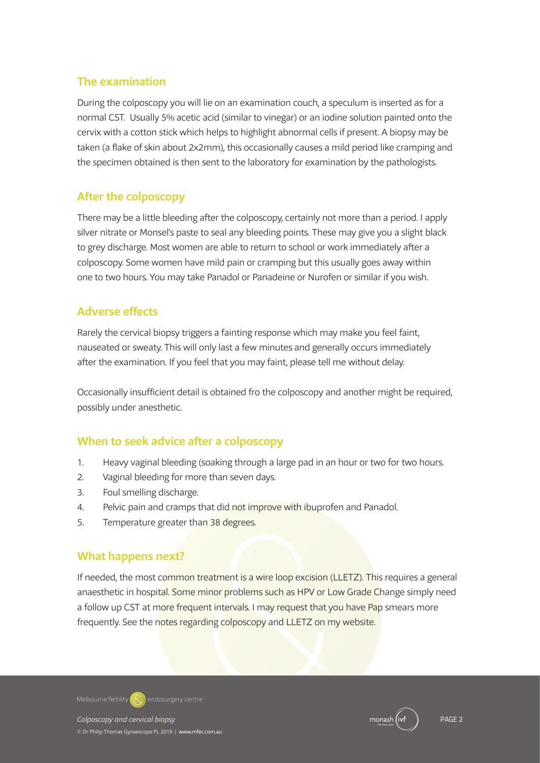## **The examination**

During the colposcopy you will lie on an examination couch, a speculum is inserted as for a normal CST. Usually 5% acetic acid (similar to vinegar) or an iodine solution painted onto the cervix with a cotton stick which helps to highlight abnormal cells if present. A biopsy may be taken (a flake of skin about 2x2mm), this occasionally causes a mild period like cramping and the specimen obtained is then sent to the laboratory for examination by the pathologists.

## **After the colposcopy**

There may be a little bleeding after the colposcopy, certainly not more than a period. I apply silver nitrate or Monsel's paste to seal any bleeding points. These may give you a slight black to grey discharge. Most women are able to return to school or work immediately after a colposcopy. Some women have mild pain or cramping but this usually goes away within one to two hours. You may take Panadol or Panadeine or Nurofen or similar if you wish.

## **Adverse effects**

Rarely the cervical biopsy triggers a fainting response which may make you feel faint, nauseated or sweaty. This will only last a few minutes and generally occurs immediately after the examination. If you feel that you may faint, please tell me without delay.

Occasionally insufficient detail is obtained fro the colposcopy and another might be required, possibly under anesthetic.

## **When to seek advice after a colposcopy**

- 1. Heavy vaginal bleeding (soaking through a large pad in an hour or two for two hours.
- 2. Vaginal bleeding for more than seven days.
- 3. Foul smelling discharge.
- 4. Pelvic pain and cramps that did not improve with ibuprofen and Panadol.
- 5. Temperature greater than 38 degrees.

## **What happens next?**

If needed, the most common treatment is a wire loop excision (LLETZ). This requires a general anaesthetic in hospital. Some minor problems such as HPV or Low Grade Change simply need a follow up CST at more frequent intervals. I may request that you have Pap smears more frequently. See the notes regarding colposcopy and LLETZ on my website.

Colposcopy and cervical biopsy Page 2012 2013 2014 2014 2014 2015 2016 2017 2018 2019 2019 2018 2019 2019 2019 © Dr Philip Thomas Gynaescope PL 2019 **|** www.mfec.com.au